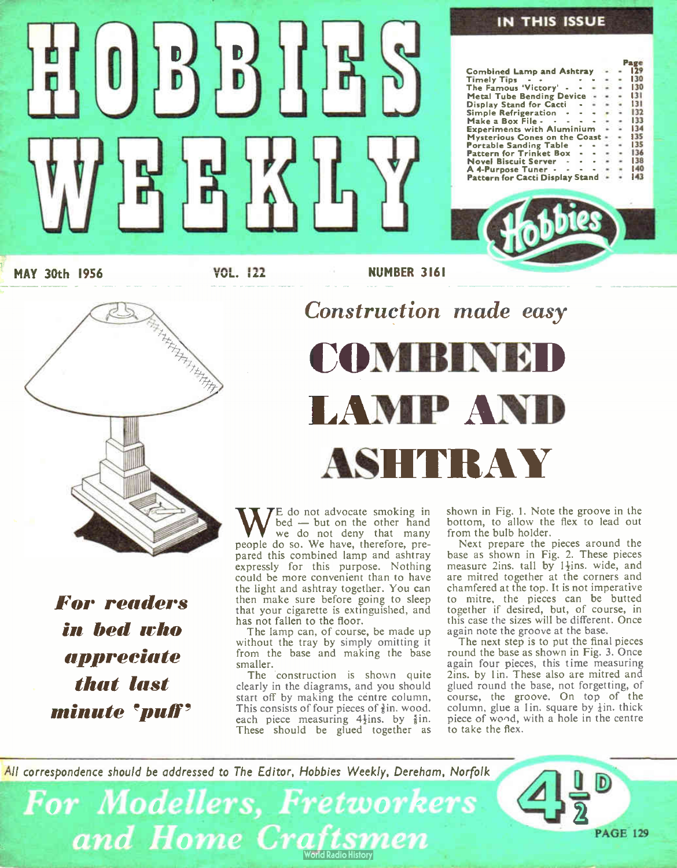# $\left[0\right]$   $\left[5\right]$   $\left[5\right]$   $\left[1\right]$  $E$

#### IN THIS ISSUE

Page Combined Lamp and Ashtray - - 129<br>Timely Tips - - - - - - - 130<br>The Famous 'Victory' - - - - - 130 Metal Tube Bending Device - - - 131<br>Display Stand for Cacti - - - - 131 Display Stand for Cacti<br>Display Stand for Cacti - 31 - 31<br>Simple Refrigeration - 31 - 32 Simple Refrigeration  $\cdots$   $\cdots$  32 133<br>134<br>135 Experiments with Aluminium - • 34 Mysterious Cones on the Coast - - 35 Portable Sanding Table<br>Portable Sanding Table<br>Pattern for Trinket Box - - - - 136 Pattern for Trinket Box - - - - 136<br>Novel Biscuit Server - - - - 138 A 4- Purpose Tuner 40 Pattern for Cacti Display Stand - 43 Make a Box File

MAY 30th 1956

**FARA ARABITARY ARABITIC ROOM** 

VOL. 122 NUMBER 3161

Construction made easy

For readers in bed who appreciate that last minute 'puff'

# COMBIN LAMP AN ASHTRAY

We do not advocate smoking in<br>
we do not deny that mand<br>
people do so. We have, therefore, pre-E do not advocate smoking in bed — but on the other hand we do not deny that many pared this combined lamp and ashtray expressly for this purpose. Nothing could be more convenient than to have the light and ashtray together. You can then make sure before going to sleep that your cigarette is extinguished, and has not fallen to the floor.

The lamp can, of course, be made up without the tray by simply omitting it from the base and making the base smaller.

The construction is shown quite clearly in the diagrams, and you should start off by making the centre column, This consists of four pieces of  $\frac{3}{2}$ in. wood. each piece measuring  $4\frac{1}{2}$ ins. by  $\frac{5}{8}$ in. These should be glued together as shown in Fig. I. Note the groove in the bottom, to allow the flex to lead out from the bulb holder.

Next prepare the pieces around the base as shown in Fig. 2. These pieces measure 2ins. tall by 1<sup>1</sup>ins. wide, and are mitred together at the corners and chamfered at the top. It is not imperative to mitre, the pieces can be butted together if desired, but, of course, in this case the sizes will be different. Once again note the groove at the base.

The next step is to put the final pieces round the base as shown in Fig. 3. Once again four pieces, this time measuring 2ins. by 1in. These also are mitred and glued round the base, not forgetting, of course, the groove. On top of the column, glue a lin. square by  $\frac{1}{4}$ in. thick piece of wend, with a hole in the centre to take the flex.

All correspondence should be addressed to The Editor, Hobbies Weekly, Dereham, Norfolk

For Modellers, Fretworkers and Home Craftsmen



. ש u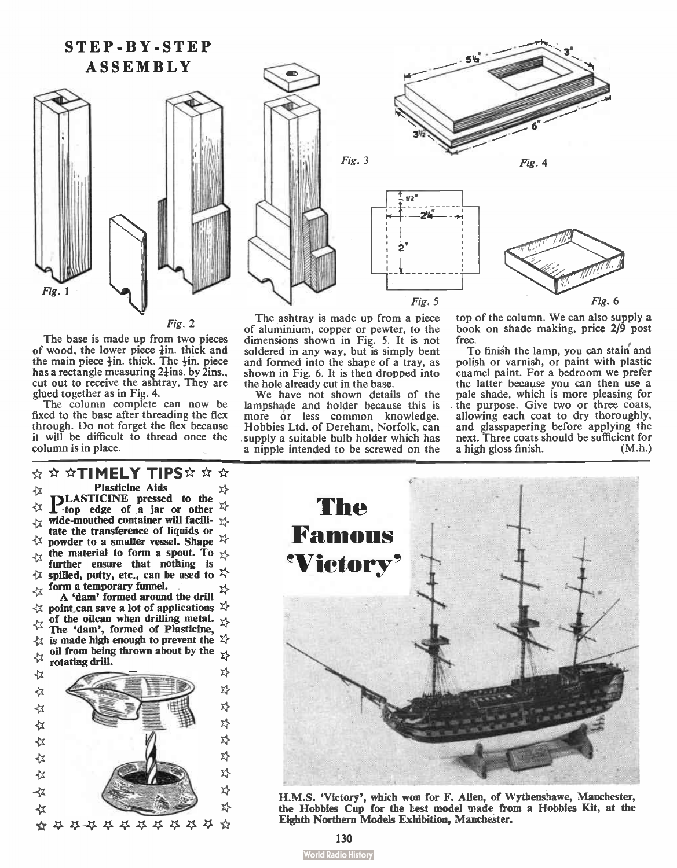#### STEP-BY-STEP ASSEMBLY



#### Fig. 2

The base is made up from two pieces of wood, the lower piece  $\frac{1}{2}$ in, thick and the main piece  $\frac{1}{2}$ in, thick. The  $\frac{1}{2}$ in, piece has a rectangle measuring  $2\frac{1}{2}$ ins. by 2ins., cut out to receive the ashtray. They are glued together as in Fig. 4.

The column complete can now be fixed to the base after threading the flex through. Do not forget the flex because it will be difficult to thread once the column is in place.

\* \* \*TIMELY TIPS\* \* \* ☆ **Plasticine Aids** PLASTICINE pressed to the  $\chi$  top edge of a jar or other  $\chi$ 乜 wide-mouthed container will facili- $\chi$ 女 tate the transference of liquids or ⊀ powder to a smaller vessel. Shape  $\overleftrightarrow{\lambda}$ the material to form a spout. To  $\chi$ ⊀ further ensure that nothing is  $\forall$  spilled, putty, etc., can be used to  $\forall$ form a temporary funnel. ∢≾ A ' dam' formed around the drill  $\forall$  point can save a lot of applications  $\forall$  $\frac{1}{2}$  of the oilcan when drilling metal. The 'dam', formed of Plasticine,  $\{x\}$  is made high enough to prevent the  $\{x\}$ oil from being thrown about by the  $_{\chi}$  $\frac{1}{4}$  rotating drill. 차 ☆ 癷 ☆ 玪 ☆ 玲 ☆ 차 ☆ 차 ∢≾ **z}** ☆ X)  $\prec$ x **z}** ≮ \*\*\*\*\*\*\*\*\*\*



The ashtray is made up from a piece of aluminium, copper or pewter, to the dimensions shown in Fig. 5. It is not soldered in any way, but is simply bent and formed into the shape of a tray, as shown in Fig. 6. It is then dropped into the hole already cut in the base.

We have not shown details of the lampshade and holder because this is more or less common knowledge. Hobbies Ltd. of Dereham, Norfolk, can supply a suitable bulb holder which has a nipple intended to be screwed on the top of the column. We can also supply a book on shade making, price 2/9 post free.

To finish the lamp, you can stain' and polish or varnish, or paint with plastic enamel paint. For a bedroom we prefer the latter because you can then use a pale shade, which is more pleasing for . the purpose. Give two or three coats, allowing each coat to dry thoroughly, and glasspapering before applying the next. Three coats should be sufficient for a high gloss finish. (M.h.)



H.M.S. 'Victory', which won for F. Allen, of Wythenshawe, Manchester, the Hobbies Cup for the test model made from a Hobbies Kit, at the Eighth Northern Models Exhibition, Manchester.

**World Radio History**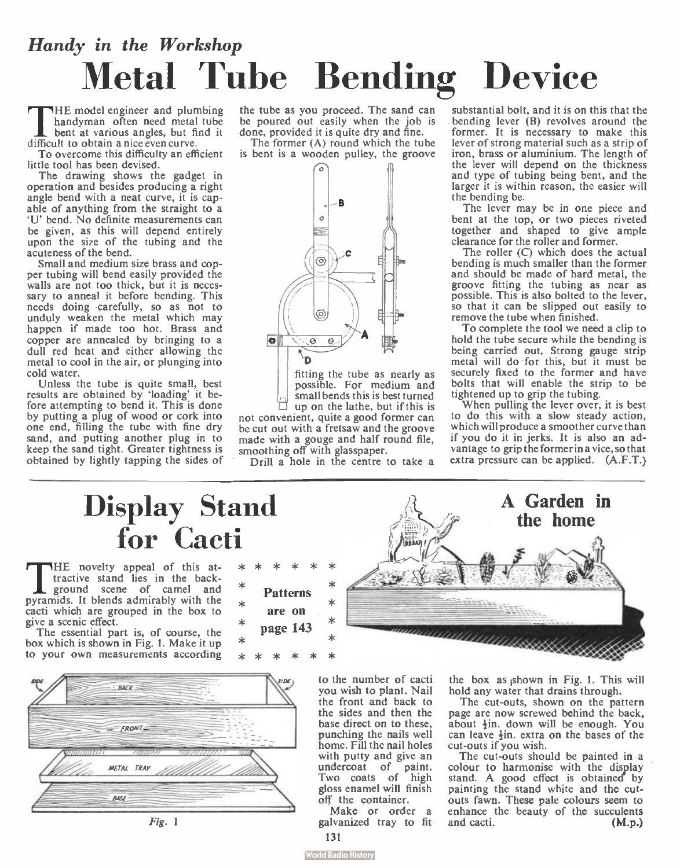# Handy in the Workshop Metal Tube Bending Device

THE model engineer and plumb<br>bent at various angles, but find<br>difficult to obtain a nice even curve. HE model engineer and plumbing handyman often need metal tube bent at various angles, but find it

To overcome this difficulty an efficient little tool has been devised.

The drawing shows the gadget in operation and besides producing a right angle bend with a neat curve, it is capable of anything from the straight to a `U' bend. No definite measurements can be given, as this will depend entirely upon the size of the tubing and the acuteness of the bend.

Small and medium size brass and copper tubing will bend easily provided the walls are not too thick, but it is necessary to anneal it before bending. This needs doing carefully, so as not to unduly weaken the metal which may happen if made too hot. Brass and copper are annealed by bringing to a dull red heat and either allowing the metal to cool in the air, or plunging into cold water.

Unless the tube is quite small, best results are obtained by 'loading' it before attempting to bend it. This is done by putting a plug of wood or cork into one end, filling the tube with fine dry sand, and putting another plug in to keep the sand tight. Greater tightness is obtained by lightly tapping the sides of

the tube as you proceed. The sand can be poured out easily when the job is done, provided it is quite dry and fine.

The former (A) round which the tube is bent is a wooden pulley, the groove



fitting the tube as nearly as possible. For medium and small bends this is best turned up on the lathe, but if this is

not convenient, quite a good former can be cut out with a fretsaw and the groove made with a gouge and half round file, smoothing off with glasspaper.

Drill a hole in the centre to take a

substantial bolt, and it is on this that the bending lever (B) revolves around the former. It is necessary to make this lever of strong material such as a strip of iron, brass or aluminium. The length of the lever will depend on the thickness and type of tubing being bent, and the larger it is within reason, the easier will

the bending be. The lever may be in one piece and bent at the top, or two pieces riveted together and shaped to give ample clearance for the roller and former.

The roller (C) which does the actual bending is much smaller than the former and should be made of hard metal, the groove fitting the tubing as near as possible. This is also bolted to the lever, so that it can be slipped out easily to remove the tube when finished.

To complete the tool we need a clip to hold the tube secure while the bending is being carried out. Strong gauge strip metal will do for this, but it must be securely fixed to the former and have bolts that will enable the strip to be tightened up to grip the tubing.

When pulling the lever over, it is best to do this with a slow steady action, which will produce a smoother curve than if you do it in jerks. It is also an advantage to grip the former in a vice, so that extra pressure can be applied. (A.F.T.)

### Display Stand for Cacti

THE novelty appeal of this attend it is in the back-<br>ground scene of canel and<br>pyramids. It blends admirably with the HE novelty appeal of this attractive stand lies in the background scene of camel and cacti which are grouped in the box to give a scenic effect.

The essential part is, of course, the box which is shown in Fig. 1. Make it up to your own measurements according



Fig. 1

|                           |          |  |  | ж |  |
|---------------------------|----------|--|--|---|--|
| <b>Patterns</b><br>are on |          |  |  |   |  |
|                           | page 143 |  |  | ж |  |
|                           |          |  |  | ж |  |
|                           |          |  |  |   |  |

 $\ast$ × ×

ж

to the number of cacti you wish to plant. Nail the front and back to the sides and then the base direct on to these, punching the nails well home. Fill the nail holes with putty and give an undercoat of paint. Two coats of high gloss enamel will finish off the container.

Make or order a galvanized tray to fit 131



the box as ishown in Fig. 1. This will hold any water that drains through.

The cut-outs, shown on the pattern page are now screwed behind the back, about  $\frac{1}{2}$ in, down will be enough. You can leave  $\frac{1}{2}$ in, extra on the bases of the cut-outs if you wish.

The cut-outs should be painted in a colour to harmonise with the display stand. A good effect is obtained by painting the stand white and the cutouts fawn. These pale colours seem to enhance the beauty of the succulents<br>and cacti.  $(M.p.)$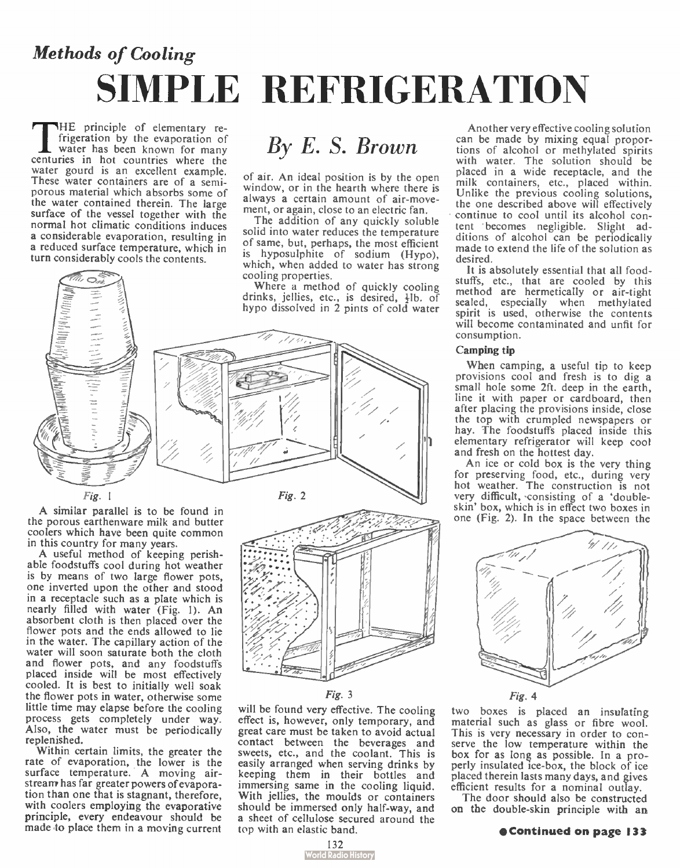# Methods of Cooling SIMPLE REFRIGERATION

THE principle of elementary re-<br>frigeration by the evaporation of<br>water has been known for many<br>centuries in hot countries where the HE principle of elementary refrigeration by the evaporation of water has been known for many water gourd is an excellent example. These water containers are of a semiporous material which absorbs some of the water contained therein. The large surface of the vessel together with the normal hot climatic conditions induces a considerable evaporation, resulting in a reduced surface temperature, which in turn considerably cools the contents.



A similar parallel is to be found in the porous earthenware milk and butter coolers which have been quite common in this country for many years.

A useful method of keeping perishable foodstuffs cool during hot weather is by means of two large flower pots, one inverted upon the other and stood in a receptacle such as a plate which is nearly filled with water (Fig. 1). An absorbent cloth is then placed over the flower pots and the ends allowed to lie in the water. The capillary action of the water will soon saturate both the cloth and flower pots, and any foodstuffs placed inside will be most effectively cooled. It is best to initially well soak the flower pots in water, otherwise some little time may elapse before the cooling process gets completely under way. Also, the water must be periodically replenished.

Within certain limits, the greater the rate of evaporation, the lower is the surface temperature. A moving airstream has far greater powers of evaporation than one that is stagnant, therefore, with coolers employing the evaporative principle, every endeavour should be made to place them in a moving current

### By E. S. Brown

of air. An ideal position is by the open window, or in the hearth where there is always a certain amount of air-movement, or again, close to an electric fan.

The addition of any quickly soluble solid into water reduces the temperature of same, but, perhaps, the most efficient is hyposulphite of sodium (Hypo), which, when added to water has strong cooling properties.

Where a method of quickly cooling drinks, jellies, etc., is desired,  $\frac{1}{2}$  of bypo dissolved in 2 pints of cold water





Fig. 3

will be found very effective. The cooling effect is, however, only temporary, and great care must be taken to avoid actual contact between the beverages and sweets, etc., and the coolant. This is easily arranged when serving drinks by keeping them in their bottles and immersing same in the cooling liquid. With jellies, the moulds or containers should be immersed only half-way, and a sheet of cellulose secured around the top with an elastic band.

Another very effective cooling solution can be made by mixing equal proportions of alcohol or methylated spirits with water. The solution should be placed in a wide receptacle, and the milk containers, etc., placed within. Unlike the previous cooling solutions, the one described above will effectively continue to cool until its alcohol contem becomes negligible. Slight additions of alcohol can be periodically made to extend the life of the solution as desired.

It is absolutely essential that all foodstuffs, etc., that are cooled by this method are hermetically or air-tight sealed, especially when methylated spirit is used, otherwise the contents will become contaminated and unfit for consumption.

#### Camping tip

When camping, a useful tip to keep provisions cool and fresh is to dig a small hole some 2ft. deep in the earth, line it with paper or cardboard, then after placing the provisions inside, close the top with crumpled newspapers or hay. The foodstuffs placed inside this elementary refrigerator will keep cool and fresh on the hottest day.

An ice or cold box is the very thing for preserving food, etc., during very hot weather. The construction is not very difficult, consisting of a 'doubleskin' box, which is in effect two boxes in one (Fig. 2). In the space between the





two boxes is placed an insulating material such as glass or fibre wool. This is very necessary in order to conserve the low temperature within the box for as long as possible. In a properly insulated ice-box, the block of ice placed therein lasts many days, and gives efficient results for a nominal outlay.

The door should also be constructed on the double-skin principle with an

#### oContinued on page 133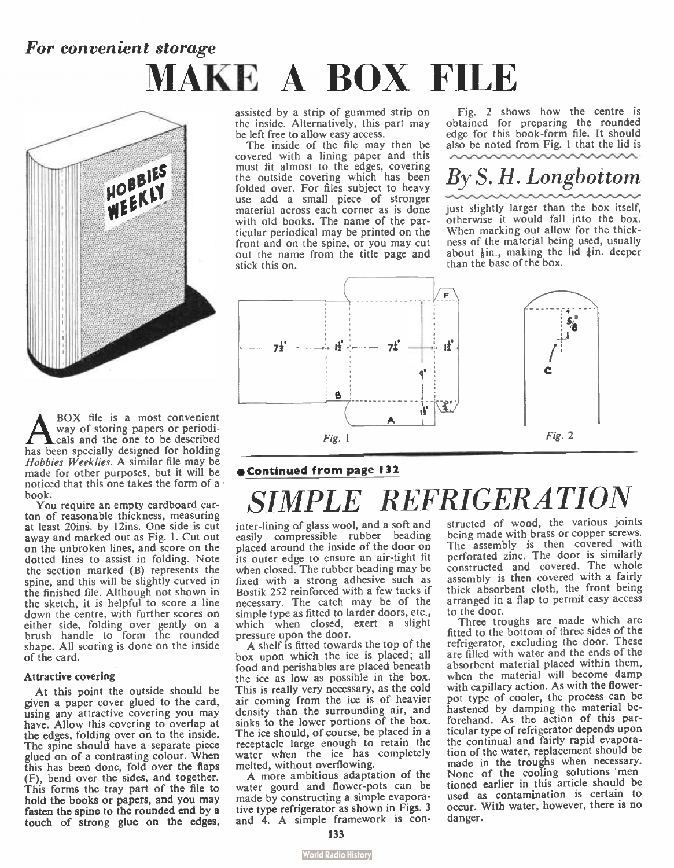## For convenient storage MAKE A BOX FILE



A BOX file is a most convenient<br>cals and the one to be described<br>has been specially designed for holding BOX file is a most convenient way of storing papers or periodicals and the one to be described Hobbies Weeklies. A similar file may be made for other purposes, but it will be noticed that this one takes the form of a book.

You require an empty cardboard carton of reasonable thickness, measuring at least 20ins. by 12ins. One side is cut away and marked out as Fig. 1. Cut out on the unbroken lines, and score on the dotted lines to assist in folding. Note the section marked (B) represents the spine, and this will be slightly curved in the finished file. Although not shown in the sketch, it is helpful to score a line down the centre, with further scores on either side, folding over gently on a brush handle to form the rounded shape. All scoring is done on the inside of the card.

#### Attractive covering

At this point the outside should be given a paper cover glued to the card, using any attractive covering you may have. Allow this covering to overlap at the edges, folding over on to the inside. The spine should have a separate piece glued on of a contrasting colour. When this has been done, fold over the flaps (F), bend over the sides, and together. This forms the tray part of the file to hold the books or papers, and you may fasten the spine to the rounded end by a touch of strong glue on the edges,

assisted by a strip of gummed strip on the inside. Alternatively, this part may be left free to allow easy access.

The inside of the file may then be covered with a lining paper and this must fit almost to the edges, covering the outside covering which has been folded over. For files subject to heavy use add a small piece of stronger material across each corner as is done with old books. The name of the particular periodical may be printed on the front and on the spine, or you may cut out the name from the title page and stick this on.

Fig. 2 shows how the centre is obtained for preparing the rounded edge for this book-form file. It should also be noted from Fig. 1 that the lid is

### By S. H. Longbottom

just slightly larger than the box itself, otherwise it would fall into the box. When marking out allow for the thickness of the material being used, usually about  $\frac{1}{2}$ in., making the lid  $\frac{1}{2}$ in, deeper than the base of the box.



#### •Continued from page 132

# **IPLE REFRIGERATION**

inter-lining of glass wool, and a soft and easily compressible rubber beading placed around the inside of the door on its outer edge to ensure an air-tight fit when closed. The rubber beading may be fixed with a strong adhesive such as Bostik 252 reinforced with a few tacks if necessary. The catch may be of the simple type as fitted to larder doors, etc., which when closed, exert a slight pressure upon the door.

A shelf is fitted towards the top of the box upon which the ice is placed; all food and perishables are placed beneath the ice as low as possible in the box. This is really very necessary, as the cold air coming from the ice is of heavier density than the surrounding air, and sinks to the lower portions of the box. The ice should, of course, be placed in a receptacle large enough to retain the water when the ice has completely melted, without overflowing.

A more ambitious adaptation of the water gourd and flower-pots can be made by constructing a simple evaporative type refrigerator as shown in Figs. 3 and 4. A simple framework is constructed of wood, the various ioints being made with brass or copper screws. The assembly is then covered with perforated zinc. The door is similarly constructed and covered. The whole assembly is then covered with a fairly thick absorbent cloth, the front being arranged in a flap to permit easy access to the door.

Three troughs are made which are fitted to the bottom of three sides of the refrigerator, excluding the door. These are filled with water and the ends of the absorbent material placed within them, when the material will become damp with capillary action. As with the flowerpot type of cooler, the process can be hastened by damping the material beforehand. As the action of this particular type of refrigerator depends upon the continual and fairly rapid evaporation of the water, replacement should be made in the troughs when necessary. None of the cooling solutions men tioned earlier in this article should be used as contamination is certain to occur. With water, however, there is no danger.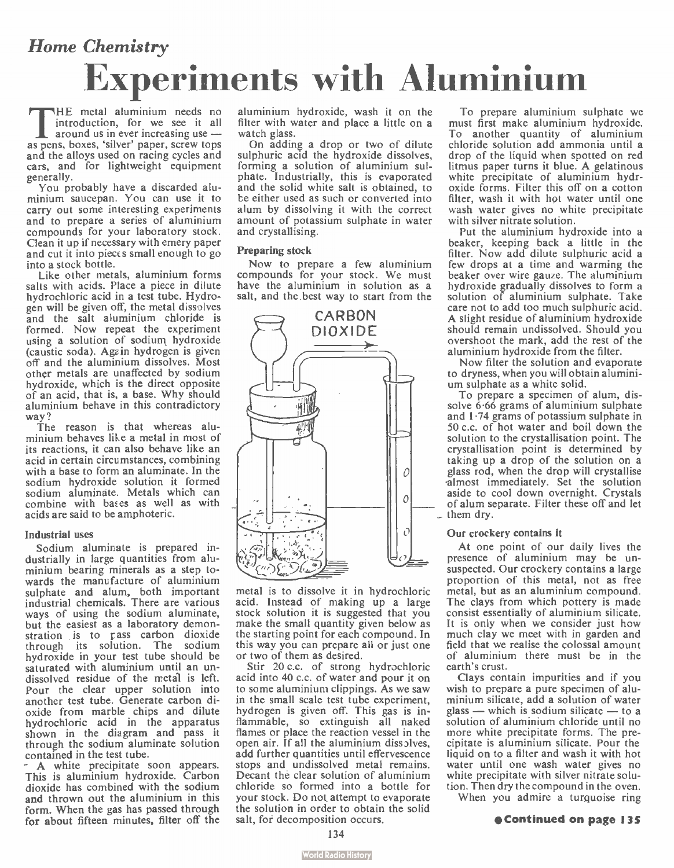## Home Chemistry Experiments with Aluminium

THE metal alumnium needs no<br>
introduction, for we see it all<br>
around us in ever increasing use —<br>
as pens, boxes, 'silver' paper, screw tops HE metal aluminium needs no introduction, for we see it all around us in ever increasing use and the alloys used on racing cycles and cars, and for lightweight equipment generally.

You probably have a discarded aluminium saucepan. You can use it to carry out some interesting experiments and to prepare a series of aluminium compounds for your laboratory stock. Clean it up if necessary with emery paper and cut it into pieccs small enough to go into a stock bottle.

Like other metals, aluminium forms salts with acids. Place a piece in dilute hydrochloric acid in a test tube. Hydrogen will be given off, the metal dissolves and the salt aluminium chloride is formed. Now repeat the experiment using a solution of sodium, hydroxide (caustic soda). Again hydrogen is given off and the aluminium dissolves. Most other metals are unaffected by sodium hydroxide, which is the direct opposite of an acid, that is, a base. Why should aluminium behave in this contradictory way ?

The reason is that whereas aluminium behaves like a metal in most of its reactions, it can also behave like an acid in certain circumstances, combining with a base to form an aluminate. In the sodium hydroxide solution it formed sodium aluminate. Metals which can combine with bases as well as with acids are said to be amphoteric.

#### Industrial uses

Sodium aluminate is prepared industrially in large quantities from aluminium bearing minerals as a step towards the manufacture of aluminium sulphate and alum, both important industrial chemicals. There are various ways of using the sodium aluminate, but the easiest as a laboratory demonstration is to pass carbon dioxide through its solution. The sodium hydroxide in your test tube should be saturated with aluminium until an undissolved residue of the metal is left. Pour the clear upper solution into another test tube. Generate carbon dioxide from marble chips and dilute hydrochloric acid in the apparatus shown in the diagram and pass it through the sodium aluminate solution contained in the test tube.

A white precipitate soon appears. This is aluminium hydroxide. Carbon dioxide has combined with the sodium and thrown out the aluminium in this form. When the gas has passed through for about fifteen minutes, filter off the aluminium hydroxide, wash it on the filter with water and place a little on a watch glass.

On adding a drop or two of dilute sulphuric acid the hydroxide dissolves, forming a solution of aluminium sulphate. Industrially, this is evaporated and the solid white salt is obtained, to he either used as such or converted into alum by dissolving it with the correct amount of potassium sulphate in water and crystallising.

#### Preparing stock

Now to prepare a few aluminium compounds for your stock. We must have the aluminium in solution as a salt, and the best way to start from the



metal is to dissolve it in hydrochloric acid. Instead of making up a large stock solution it is suggested that you make the small quantity given below as the starting point for each compound. In this way you can prepare all or just one or two of them as desired.

Stir 20 c.c. of strong hydrochloric acid into 40 c.c. of water and pour it on to some aluminium clippings. As we saw in the small scale test tube experiment, hydrogen is given off. This gas is inflammable, so extinguish all naked flames or place the reaction vessel in the open air. If all the aluminium dissalves, add further quantities until effervescence stops and undissolved metal remains. Decant the clear solution of aluminium chloride so formed into a bottle for your stock. Do not attempt to evaporate the solution in order to obtain the solid salt, for decomposition occurs.

To prepare aluminium sulphate we must first make aluminium hydroxide. To another quantity of aluminium chloride solution add ammonia until a drop of the liquid when spotted on red litmus paper turns it blue. A gelatinous white precipitate of aluminium hydroxide forms. Filter this off on a cotton filter, wash it with hot water until one wash water gives no white precipitate with silver nitrate solution.

Put the aluminium hydroxide into a beaker, keeping back a little in the filter. Now add dilute sulphuric acid a few drops at a time and warming the beaker over wire gauze. The aluminium hydroxide gradually dissolves to form a solution of aluminium sulphate. Take care not to add too much sulphuric acid. A slight residue of aluminium hydroxide should remain undissolved. Should you overshoot the mark, add the rest of the aluminium hydroxide from the filter.

Now filter the solution and evaporate to dryness, when you will obtain aluminium sulphate as a white solid.

To prepare a specimen of alum, dissolve 6-66 grams of aluminium sulphate and  $1.74$  grams of potassium sulphate in 50 c.c. of hot water and boil down the solution to the crystallisation point. The crystallisation point is determined by taking up a drop of the solution on a glass rod, when the drop will crystallise -almost immediately. Set the solution aside to cool down overnight. Crystals of alum separate. Filter these off and let  $\mathcal{L}$  them dry.

#### Our crockery contains it

At one point of our daily lives the presence of aluminium may be unsuspected. Our crockery contains a large proportion of this metal, not as free metal, but as an aluminium compound. The clays from which pottery is made consist essentially of aluminium silicate. It is only when we consider just how much clay we meet with in garden and field that we realise the colossal amount of aluminium there must be in the earth's crust.

Clays contain impurities and if you wish to prepare a pure specimen of aluminium silicate, add a solution of water glass — which is sodium silicate — to a solution of aluminium chloride until no more white precipitate forms. The precipitate is aluminium silicate. Pour the liquid on to a filter and wash it with hot water until one wash water gives no white precipitate with silver nitrate solution. Then dry the compound in the oven.

When you admire a turquoise ring

#### \*Continued on page 135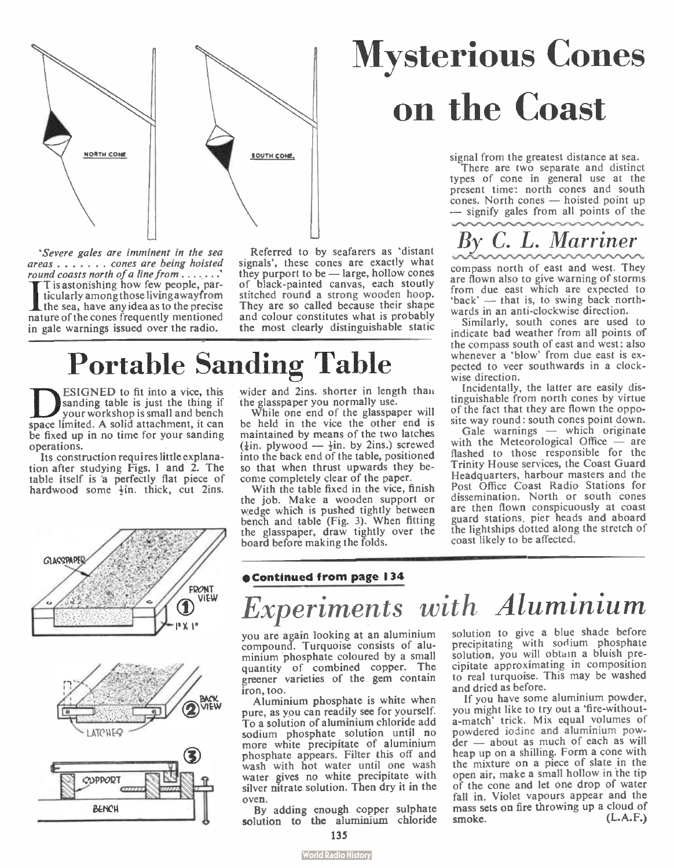

'Severe gales are imminent in the sea  $area \dots \dots$  cones are being hoisted<br>round coasts north of a line from ....... areas  $\dots$   $\dots$  cones are being noisted<br>round coasts north of a line from  $\dots$ <br> $\ddots$ <br> $\ddot{\text{I}}$  is astonishing how few people, particularly among those livingawayfrom the sea, have any idea as to the precise nature of the cones frequently mentioned in gale warnings issued over the radio.

Referred to by seafarers as 'distant signals', these cones are exactly what they purport to be — large, hollow cones of black-painted canvas, each stoutly stitched round a strong wooden hoop. They are so called because their shape and colour constitutes what is probably the most clearly distinguishable static

# Portable Sanding Table

**ESIGNED** to fit into a vice, this<br>your workshop is sinall and bench<br>space limited. A solid attachment, it can ESIGNED to fit into a vice, this sanding table is just the thing if your workshop is small and bench be fixed up in no time for your sanding operations.

Its construction requires little explanation after studying Figs. 1 and 2. The table itself is a perfectly flat piece of hardwood some  $\frac{1}{2}$ in. thick, cut 2ins.





wider and 2ins. shorter in length than the glasspaper you normally use.

While one end of the glasspaper will be held in the vice the other end is maintained by means of the two latches ( $\frac{1}{2}$ in. plywood —  $\frac{1}{2}$ in. by 2ins.) screwed into the back end of the table, positioned so that when thrust upwards they become completely clear of the paper.

With the table fixed in the vice, finish the job. Make a wooden support or wedge which is pushed tightly between bench and table (Fig. 3). When fitting<br>the glasspaper, draw tightly over the board before making the folds.

# Mysterious Cones on the Coast

signal from the greatest distance at sea.

There are two separate and distinct types of cone in general use at the present time: north cones and south cones. North cones — hoisted point up — signify gales from all points of the



compass north of east and west. They are flown also to give warning of storms from due east which are expected to 'back' — that is, to swing back northwards in an anti-clockwise direction.

Similarly, south cones are used to indicate bad weather from all points of the compass south of east and west; also whenever a 'blow' from due east is expected to veer southwards in a clockwise direction.

Incidentally, the latter are easily distinguishable from north cones by virtue of the fact that they are flown the opposite way round: south cones point down.

Gale warnings — which originate with the Meteorological Office — are flashed to those responsible for the Trinity House services, the Coast Guard Headquarters, harbour masters and the Post Office Coast Radio Stations for dissemination. North or south cones are then flown conspicuously at coast guard stations, pier heads and aboard the lightships dotted along the stretch of coast likely to be affected.

#### eContinued from page 134

# Experiments with Aluminium

you are again looking at an aluminium compound. Turquoise consists of aluminium 'phosphate coloured by a small quantity of combined copper. The greener varieties of the gem contain iron, too.

Aluminium phosphate is white when pure, as you can readily see for yourself. To a solution of aluminium chloride add sodium phosphate solution until no more white precipitate of aluminium phosphate appears. Filter this off and wash with hot water until one wash water gives no white precipitate with silver nitrate solution. Then dry it in the oven.

By adding enough copper sulphate solution to the aluminium chloride solution to give a blue shade before precipitating with sodium phosphate solution, you will obtain a bluish precipitate approximating in composition to real turquoise. This may be washed and dried as before.

If you have some aluminium powder, you might like to try out a 'fire-withouta-match' trick. Mix equal volumes of powdered iodine and aluminium powder — about as much of each as will heap up on a shilling. Form a cone with the mixture on a piece of slate in the open air, make a small hollow in the tip of the cone and let one drop of water fall in. Violet vapours appear and the mass sets on fire throwing up a cloud of smoke. (L.A.F.)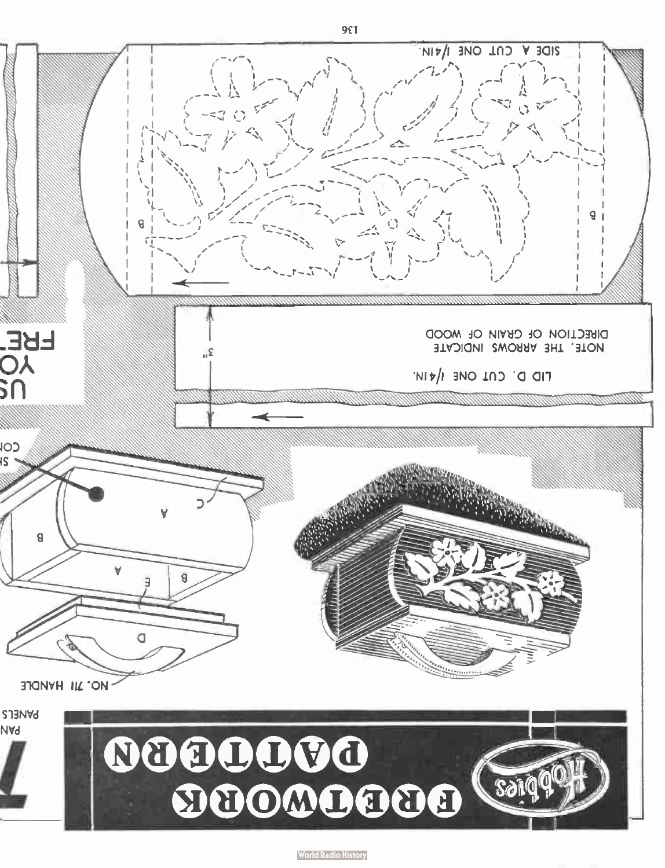**World Radio History** 

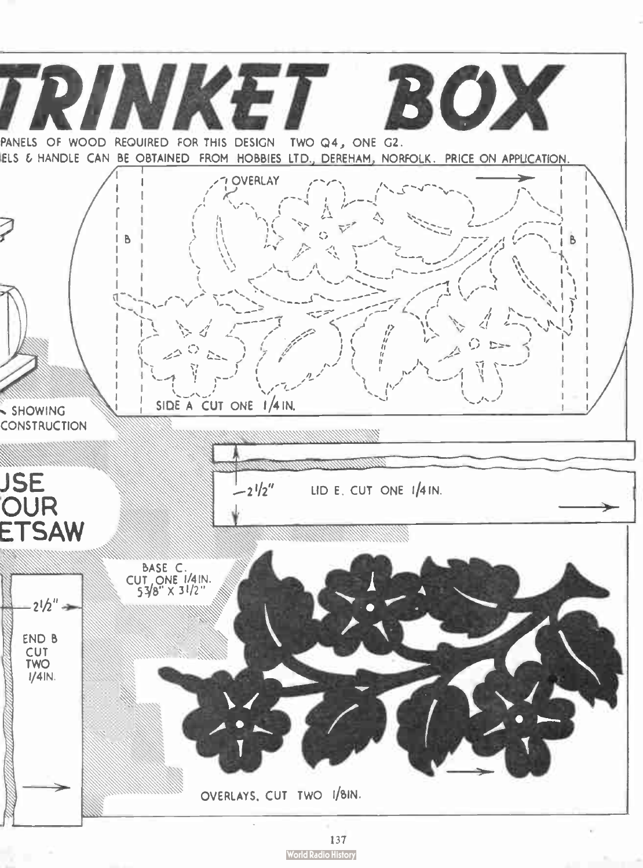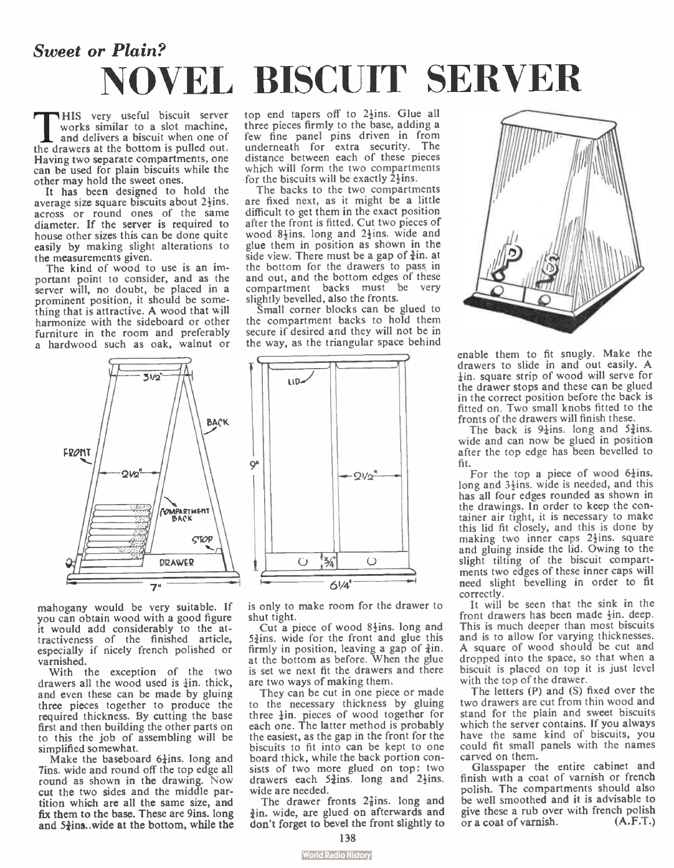### Sweet or Plain? NOVEL BISCUIT SERVER

This very useful biscuit server<br>works similar to a slot machine,<br>and delivers a biscuit when one of<br>the drawers at the bottom is pulled out. HIS very useful biscuit server works similar to a slot machine, and delivers a biscuit when one of Having two separate compartments, one can be used for plain biscuits while the other may hold the sweet ones.

It has been designed to hold the average size square biscuits about  $2\frac{1}{2}$ ins. across or round ones of the same diameter. If the server is required to house other sizes this can be done quite easily by making slight alterations to the measurements given.

The kind of wood to use is an important point to consider, and as the server will, no doubt, be placed in a prominent position, it should be something that is attractive. A wood that will harmonize with the sideboard or other furniture in the room and preferably a hardwood such as oak, walnut or

top end tapers off to  $2\frac{1}{2}$ ins. Glue all three pieces firmly to the base, adding a few fine panel pins driven in from underneath for extra security. The distance between each of these pieces which will form the two compartments for the biscuits will be exactly  $2\frac{1}{2}$ ins.

The backs to the two compartments are fixed next, as it might be a little difficult to get them in the exact position after the front is fitted. Cut two pieces of wood 8<sup> $+$ </sup> ins. long and  $2$ <sup> $+$ </sup> ins. wide and glue them in position as shown in the side view. There must be a gap of  $\frac{3}{4}$ in. at the bottom for the drawers to pass, in and out, and the bottom edges of these compartment backs must be very slightly bevelled, also the fronts.

Small corner blocks can be glued to the compartment backs to hold them secure if desired and they will not be in the way, as the triangular space behind

.------.4 \ ----I -

LI D.I

Q<sup>#</sup>



mahogany would be very suitable. If you can obtain wood with a good figure it would add considerably to the attractiveness of the finished article, especially if nicely french polished or varnished.

With the exception of the two drawers all the wood used is  $\frac{1}{2}$ in, thick, and even these can be made by gluing three pieces together to produce the required thickness. By cutting the base first and then building the other parts on to this the job of assembling will be simplified somewhat.

Make the baseboard  $6\frac{1}{4}$ ins. long and 7ins. wide and round off the top edge all round as shown in the drawing. Now cut the two sides and the middle partition which are all the same size, and fix them to the base. These are 9ins. long and  $5\frac{3}{2}$ ins. wide at the bottom, while the is only to make room for the drawer to shut tight.

61/4'

!z⁄  $\mathcal{C}$ 

o

 $QV_2$ 

Cut a piece of wood  $8\frac{1}{2}$ ins. long and  $5\frac{3}{4}$ ins. wide for the front and glue this firmly in position, leaving a gap of  $\ddagger$ in.<br>at the bottom as before. When the glue is set we next fit the drawers and there are two ways of making them.

They can be cut in one piece or made to the necessary thickness by gluing three  $\frac{1}{2}$ in, pieces of wood together for each one. The latter method is probably the easiest, as the gap in the front for the biscuits to fit into can be kept to one board thick, while the back portion consists of two more glued on top: two drawers each  $5\frac{3}{4}$ ins. long and  $2\frac{1}{2}$ ins. wide are needed.

The drawer fronts  $2\frac{7}{8}$ ins. long and tin, wide, are glued on afterwards and don't forget to bevel the front slightly to



enable them to fit snugly. Make the drawers to slide in and out easily. A ¡in, square strip of wood will serve for the drawer stops and these can be glued in the correct position before the back is fitted on. Two small knobs fitted to the fronts of the drawers will finish these.

The back is  $9\frac{1}{4}$ ins. long and  $5\frac{3}{4}$ ins. wide and can now be glued in position after the top edge has been bevelled to fit.

For the top a piece of wood  $6\frac{1}{4}$ ins. long and  $3\frac{1}{2}$ ins. wide is needed, and this has all four edges rounded as shown in the drawings. In order to keep the container air tight, it is necessary to make this lid fit closely, and this is done by making two inner caps  $2\frac{1}{2}$ ins. square and gluing inside the lid. Owing to the slight tilting of the biscuit compartments two edges of these inner caps will need slight bevelling in order to fit correctly.

It will be seen that the sink in the front drawers has been made  $\frac{1}{2}$ in. deep. This is much deeper than most biscuits and is to allow for varying thicknesses. A square of wood should be cut and dropped into the space, so that when a biscuit is placed on top it is just level with the top of the drawer.

The letters (P) and (S) fixed over the two drawers are cut from thin wood and stand for the plain and sweet biscuits which the server contains. If you always have the same kind of biscuits, you could fit small panels with the names carved on them.

Glasspaper the entire cabinet and finish with a coat of varnish or french polish. The compartments should also be well smoothed and it is advisable to give these a rub over with french polish or a coat of varnish. (A.F.T.)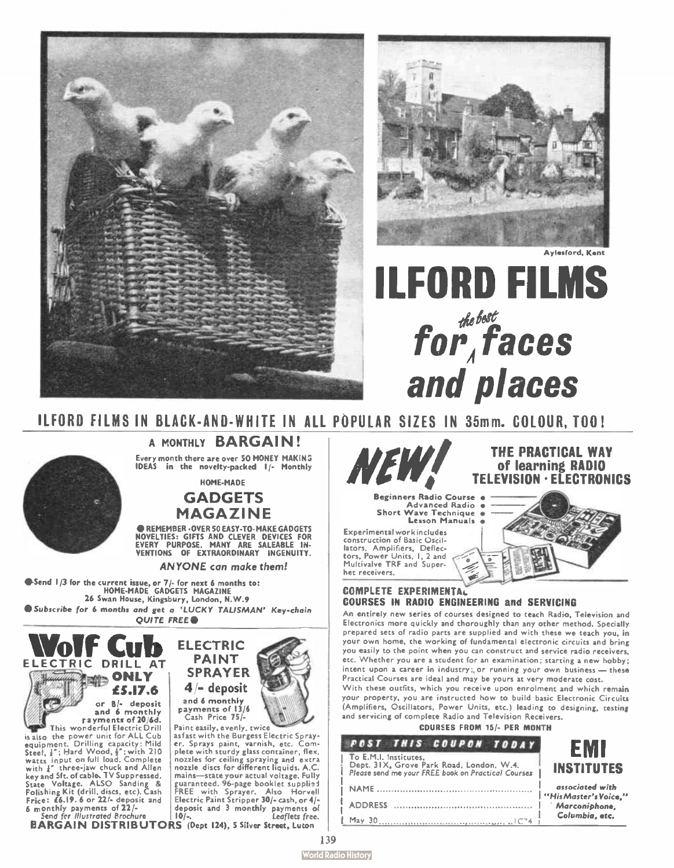



**Avlasford, Kant** 

# **ILFORD FILMS** for faces and places

ILFORD FILMS IN BLACK-AND-WHITE IN ALL POPULAR SIZES IN 35mm. COLOUR, TOO!



A MONTHLY BARGAIN! Every month there are over 50 MONEY MAKING<br>IDEAS in the novelty-packed I/- Monthly

HOME-MADE

#### **GADGETS MAGAZINE**

**AREMEMBER, OVER 50 FASY, TO, MAKE GADGETS** NOVELTIES: GIFTS AND CLEVER DEVICES FOR<br>EVERY PURPOSE, MANY ARE SALEABLE IN-<br>VENTIONS OF EXTRAORDINARY INGENUITY.

**ANYONE** can make them!

Send 1/3 for the current issue, or 7/- for next 6 months to:<br>HOME-MADE GADGETS MAGAZINE 26 Swan House, Kingsbury, London, N.W.9 Subscribe for 6 months and get a 'LUCKY TALISMAN' Key-chain **OUITE FREE** 



is also the power unit for ALL Cub<br>
steel,  $\frac{1}{4}$ "; Hard Wood,  $\frac{1}{2}$ "; with 210<br>
watts input on full load, Complete<br>
with  $\frac{1}{4}$ " three-jaw chuck and Allen key and 5ft. of cable. TV Suppressed. State Voltage. ALSO Sanding &<br>Folishing Kit (drill, discs, etc), Cash<br>Frice: £6.19. 6 or 22/- deposit and 6 monthly payments of 22/-<br>Send for illustrated Brochure



Paint easily, evenly, twice as fast with the Burgess Electric Sprayer. Sprays paint, varnish, etc. Com-

plete with sturdy glass container, flex, nozzles for ceiling spraying and extra<br>nozzle discs for different liquids. A.C. mains-state your actual voltage. Fully runner 300 and 200 and 200 and 200 and 200 and 200 and 200 and 200 and 200 and 200 and 200 and 200 and 200 and 200 and 200 and 200 and 200 and 200 and 200 and 200 and 200 and 200 and 200 and 200 and 200 and 200 and 200 and deposit and 3 monthly payments of

**BARGAIN DISTRIBUTORS** (Dept 124), 5 Silver Street, Luton



**Beginners Radio Course Advanced Radio** Short Wave Technique **Lesson Manuals** 

**Experimental work includes** construction of Basic Oscillators, Amplifiers, Deflectors, Power Units, 1, 2 and Multivalve TRF and Super het receivers.

THE PRACTICAL WAY

of learning RADIO **TELEVISION · ELECTRONICS** 

#### **COMPLETE EXPERIMENTAL COURSES IN RADIO ENGINEERING and SERVICING**

An entirely new series of courses designed to teach Radio, Television and Electronics more quickly and thoroughly than any other method. Specially prepared sets of radio parts are supplied and with these we teach you, in your own home, the working of fundamental electronic circuits and bring you easily to the point when you can construct and service radio receivers, etc. Whether you are a student for an examination; starting a new hobby; intent upon a career in industry; or running your own business - these Practical Courses are ideal and may be yours at very moderate cost.

With these outfits, which you receive upon enrolment and which remain your property, you are instructed how to build basic Electronic Circuits (Amplifiers, Oscillators, Power Units, etc.) leading to designing, testing and servicing of complete Radio and Television Receivers.

| <b>COURSES FROM 15/- PER MONTH</b> |  |            |
|------------------------------------|--|------------|
| THIS COUPON TODAY                  |  | <b>FMI</b> |

| To E.M.I. Institutes.<br>Dept. 31X, Grove Park Road, London, W.4.<br>Please send me your FREE book on Practical Courses | E IVI I<br><b>INSTITUTES</b>             |
|-------------------------------------------------------------------------------------------------------------------------|------------------------------------------|
|                                                                                                                         | associated with<br>"His Master's Voice." |
|                                                                                                                         | Marconiphone.                            |
| May 30                                                                                                                  | Columbia, etc.                           |

 $PAST$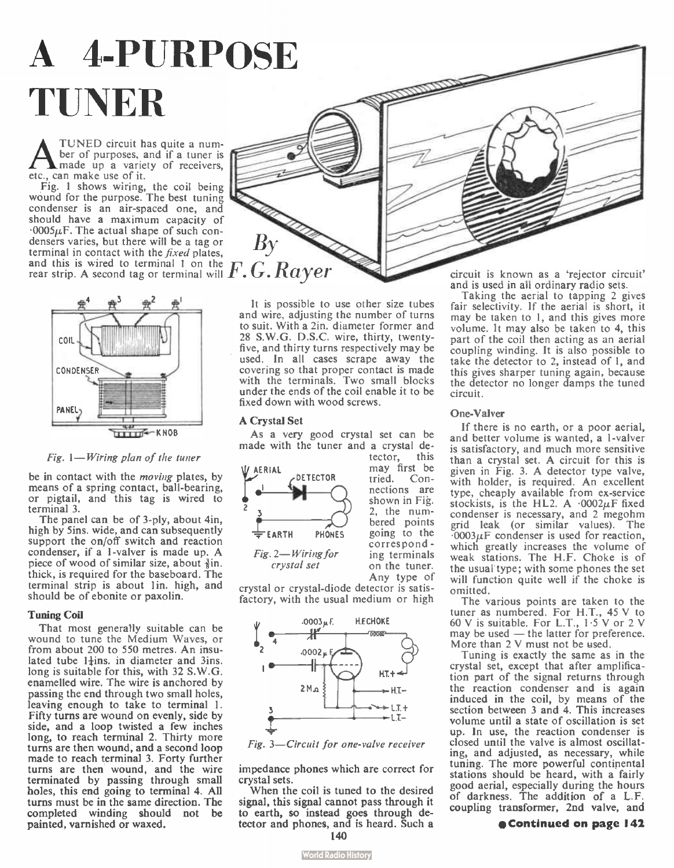# A 4-PURPOSE TUNER

A TUNED circuit has<br>ber of purposes, an<br>etc., can make use of it. TUNED circuit has quite a number of purposes, and if a tuner is made up a variety of receivers,

Fig. 1 shows wiring, the coil being wound for the purpose. The best tuning condenser is an air-spaced one, and should have a maximum capacity of  $0.0005\mu$ F. The actual shape of such condensers varies, but there will be a tag or terminal in contact with the *fixed* plates, and this is wired to terminal 1 on the and this is wired to terminal 1 on the  $F. G. Rayer^\top$ 



Fig. 1— Wiring plan of the tuner

be in contact with the moving plates, by means of a spring contact, ball-bearing, or pigtail, and this tag is wired to terminal 3.

The panel can be of 3-ply, about 4in, high by Sins. wide, and can subsequently support the on/off switch and reaction condenser, if a 1-valver is made up. A piece of wood of similar size, about  $\frac{3}{2}$ in. thick, is required for the baseboard. The terminal strip is about lin, high, and should be of ebonite or paxolin.

#### Tuning Coil

That most generally suitable can be wound to tune the Medium Waves, or from about 200 to 550 metres. An insulated tube  $1\frac{1}{2}$ ins. in diameter and 3ins. long is suitable for this, with 32 S.W.G. enamelled wire. The wire is anchored by passing the end through two small holes, leaving enough to take to terminal I. Fifty turns are wound on evenly, side by side, and a loop twisted a few inches long, to reach terminal 2. Thirty more turns are then wound, and a second loop made to reach terminal 3. Forty further turns are then wound, and the wire terminated by passing through small holes, this end going to terminal 4. All turns must be in the same direction. The completed winding should not be painted, varnished or waxed.

It is possible to use other size tubes and wire, adjusting the number of turns to suit. With a 2in. diameter former and 28 S.W.G. D.S.C. wire, thirty, twentyfive, and thirty turns respectively may be used. In all cases scrape away the covering so that proper contact is made with the terminals. Two small blocks under the ends of the coil enable it to be fixed down with wood screws.

#### A Crystal Set

As a very good crystal set can be made with the tuner and a crystal de-



tector, this may first be<br>tried. Connections are shown in Fig. 2, the numbered points correspond ing terminals on the tuner. Any type of

crystal or crystal-diode detector is satisfactory, with the usual medium or high





impedance phones which are correct for crystal sets.

When the coil is tuned to the desired signal, this signal cannot pass through it to earth, so instead goes through detector and phones, and is heard. Such a 140

circuit is known as a 'rejector circuit' and is used in all ordinary radio sets.

Taking the aerial to tapping 2 gives fair selectivity. If the aerial is short, it may be taken to 1, and this gives more volume. It may also be taken to 4, this part of the coil then acting as an aerial coupling winding. It is also possible to take the detector to 2, instead of 1, and this gives sharper tuning again, because the detector no longer damps the tuned circuit.

#### One-Valver

If there is no earth, or a poor aerial, and better volume is wanted, a 1-valver is satisfactory, and much more sensitive than a crystal set. A circuit for this is given in Fig. 3. A detector type valve, with holder, is required. An excellent type, cheaply available from ex-service stockists, is the HL2. A  $.0002\mu$ F fixed condenser is necessary, and 2 megohm grid leak (or similar values). The  $.0003\mu$ F condenser is used for reaction, which greatly increases the volume of weak stations. The H.F. Choke is of the usual type; with some phones the set will function quite well if the choke is omitted.

The various points are taken to the tuner as numbered. For H.T., 45 V to 60 V is suitable. For L.T., 1-5 V or 2 V may be used — the latter for preference. More than 2 V must not be used.

Tuning is exactly the same as in the crystal set, except that after amplification part of the signal returns through the reaction condenser and is again induced in the coil, by means of the section between 3 and 4. This increases volume until a state of oscillation is set up. In use, the reaction condenser is closed until the valve is almost oscillating, and adjusted, as necessary, while tuning. The more powerful continental stations should be heard, with a fairly good aerial, especially during the hours of darkness. The addition of a L.F. coupling transformer, 2nd valve, and

#### e Continued on page 142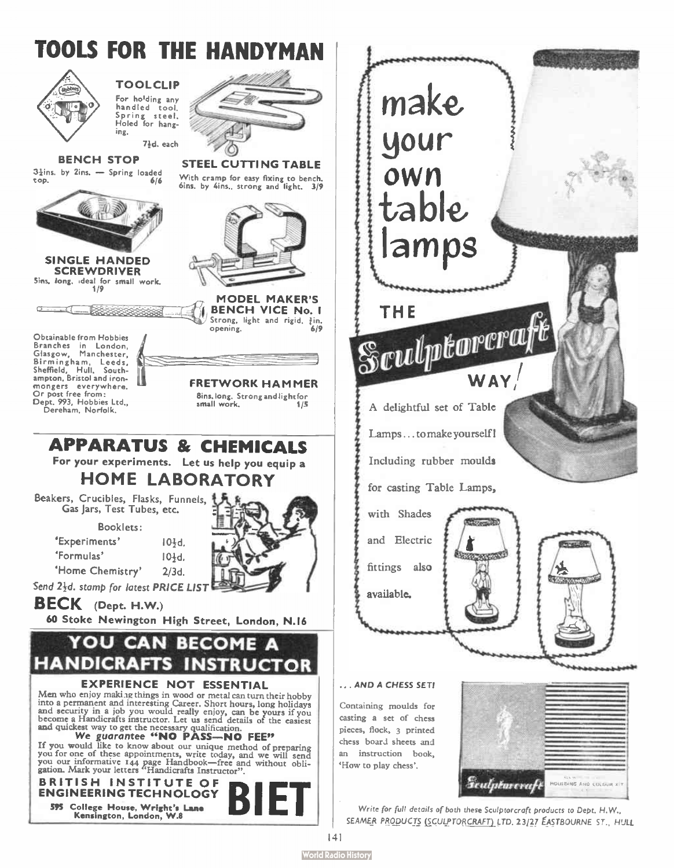

**World Radio History**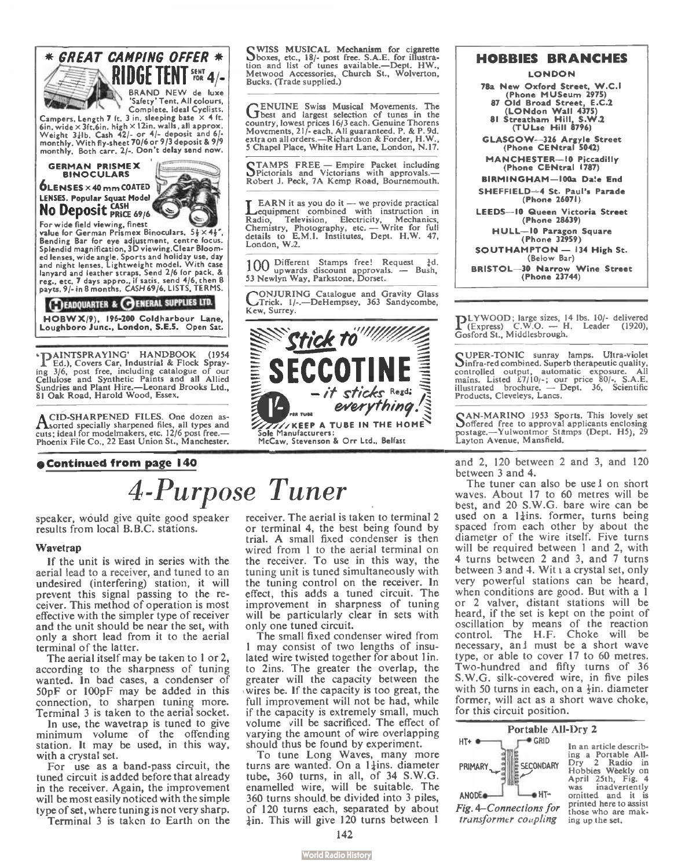

Campers. Length 7 ft. 3 in. sleeping base  $\times$  4 ft. 6in. wide x 3ft.6in. high x I In. walls, all approx. Weight nib. Cash 42/- or 4/- deposit and 6/- monthly. With fly-sheet 70/6 or 9/3 deposit & 9/9 monthly. Both carr. 2/.. Don't delay send now.

#### GERMAN PRISMEX BINOCULARS  $0$ LENSES  $\times$  40 mm COATED LENSES. Popular Squat Model No Deposit CASH



For wide field viewing, finest value for German Prismex Binoculars.  $5\frac{1}{2}\times4\frac{1}{2}$ Bending Bar for eye adjustment, centre focus. Splendid magnification, 30 viewing.Clear Bloomed lenses, wide angle. Sports and holiday use, day and night lenses. Lightweight model. With case lanyard and leather straps. Send 2/6 for pack. & reg., etc. 7 days appro., if satis. send 4/6, then 8 payts. 9/- in 8 months. CASH 69/6. LISTS, TERMS.

#### **EADQUARTER & OENERAL SUPPLIES LTD.**

HOBW X/9), 196-200 Coldharbour Lane, Loughboro June., London, S.E.S. Open Sat.

• PAINTSPRAYING' HANDBOOK (1954)<br>Ed.), Covers Car, Industrial & Flock Spraying 3/6, post free, including catalogue of our Cellulose and Synthetic Paints and all Allied Sundries and Plant Hire.—Leonard Brooks Ltd., 81 Oak Road, Harold Wood, Essex.

A CID-SHARPENED FILES. One dozen as-Ilsorted specially sharpened files, all types and cuts; ideal for modelmakers, etc. 12/6 post free.— Phoenix File Co., 22 East Union St., Manchester.

#### •Continued from page 140

QWISS MUSICAL Mechanism for cigarette °boxes, etc., 113/- post free. S.A.E. for illustra-tion and list of tunes available—Dept. HW., Metwood Accessories, Church St., Wolverton, Bucks. (Trade supplied.)

GENUINE Swiss Musical Movements. The best and largest selection of tunes in the country, lowest prices 16/3 each. Genuine Thorens Movements, 21/- each. All guaranteed. P. & P. 9d. extra on all orders.—Richardson & Forder, H.W. 5 Chapel Place, White Hart Lane, London, N.17.

CIAMPS FREE — Empire Packet including<br>CPictorials and Victorians with approvals.—<br>Robert J. Peck, 7A Kemp Road, Bournemouth.

**T** EARN it as you do it  $-$  we provide practical equipment combined with instruction in Radio, Television, Electricity, Mechanics,<br>Chemistry, Photography, etc. — Write for full<br>details to E.M.I. Institutes, Dept. H.W. 47, London, W.2.

100 Different Stamps free! Request  $\frac{1}{4}d$ .<br>53 Newlyn Way, Parkstone, Dorset. — Bush,

CONJURING Catalogue and Gravity Glass Trick. 1/-.—DeHempsey, 363 Sandycombe, Kew, Surrey.



#### **LONDON** 78a New Oxford Street, W.C.I (Phone MUSeum 2975)<br>Old Broad Street, E.C.2 87 Old Broad Street, E.C.2 (LONdon Wall 4375) 81 Streatham Hill, S.W.2 (TULse Hill 8796) GLASGOW-3U Argyle Street (Phone CENtral 5042) MANCHESTER— I0 Piccadilly (Phone CENtral 1787) BIRMINGHAM- 100a Daie End SHEFFIELD-4 St. Paul's Parade

HOBBIES BRANCHES

(Phone 26071) LEEDS-10 Queen Victoria Street (Phone 28639)

HULL— I0 Paragon Square (Phone 32959)

SOUTHAMPTON — 134 High St. (Below Bar)

BRISTOL- 30 Narrow Wine Street (Phone 23744)

PLYWOOD; large sizes, 14 lbs. 10/- delivered (Express) C.W.O. — H. Leader (1920), Gosford St., Middlesbrough.

C UPER-TONIC sunray lamps. Ultra-violet 13infra-red combined. Superb therapeutic quality, controlled output, automatic exposure. All mains. Listed 87/101-; our price 80/-. S.A.E. illustrated brochure. — Dept. 36, Scientific Products, Cleveleys, Lancs.

CAN-MARINO 1953 Sports. This lovely set °offered free to approval applicants enclosing postage.—Yulwontmor Stamps (Dept. H5), 29 Layton Avenue, Mansfield.

and 2, 120 between 2 and 3, and 120 between 3 and 4.

The tuner can also be use I on short waves. About 17 to 60 metres will be best, and 20 S.W.G. bare wire can be used on a  $1\frac{1}{4}$ ins. former, turns being spaced from each other by about the diameter of the wire itself. Five turns will be required between 1 and 2, with 4 turns between 2 and 3, and 7 turns between  $3$  and  $4$ . Wit  $x$  a crystal set, only very powerful stations can be heard, when conditions are good. But with a 1 or 2 valver, distant stations will be heard, if the set is kept on the point of oscillation by means of the reaction control. The H.F. Choke will be necessary, and must be a short wave type, or able to cover 17 to 60 metres. Two-hundred and fifty turns of 36 S.W.G. silk-covered wire, in five piles with 50 turns in each, on a  $\frac{1}{2}$ in. diameter former, will act as a short wave choke, for this circuit position.

#### Portable All-Dry 2 HT+ e r• GRID In an article describing a Portable All-Dry 2 Radio in Hobbies Weekly on SECONDARY PRIMARY April 25th, Fig. 4<br>was inadvertently inadvertently ANODE<sup>a</sup> LeHTomitted and it is printed here to assist Fig. 4—Connections for those who are maktransformer coupling ing up the set.

4-Purpose Tuner

speaker, would give quite good speaker results from local B.B.C. stations.

#### Wavetran

If the unit is wired in series with the aerial lead to a receiver, and tuned to an undesired (interfering) station, it will prevent this signal passing to the receiver. This method of operation is most effective with the simpler type of receiver and the unit should be near the set, with only a short lead from it to the aerial terminal of the latter.

The aerial itself may be taken to 1 or 2, according to the sharpness of tuning wanted. In bad cases, a condenser of 50pF or 100pF may be added in this connection, to sharpen tuning more. Terminal 3 is taken to the aerial socket.

In use, the wavetrap is tuned to give minimum volume of the offending station. It may be used, in this way, with a crystal set.

For use as a band-pass circuit, the tuned circuit is added before that already in the receiver. Again, the improvement will be most easily noticed with the simple type of set, where tuning is not very sharp.

Terminal 3 is taken to Earth on the

receiver. The aerial is taken to terminal 2 or terminal 4, the best being found by trial. A small fixed condenser is then wired from 1 to the aerial terminal on the receiver. To use in this way, the tuning unit is tuned simultaneously with the tuning control on the receiver. In effect, this adds a tuned circuit. The improvement in sharpness of tuning will be particularly clear in sets with only one tuned circuit.

The small fixed condenser wired from 1 may consist of two lengths of insulated wire twisted together for about 1in. to 2ins. The greater the overlap, the greater will the capacity between the wires be. If the capacity is too great, the full improvement will not be had, while if the capacity is extremely small, much volume vill be sacrificed. The effect of varying the amount of wire overlapping should thus be found by experiment.

 $\frac{1}{6}$  tune Long waves, many more turns are wanted. On a 1 $\frac{1}{4}$ ins. diameter tube, 360 turns, in all, of 34 S.W.G. enamelled wire, will be suitable. The 360 turns should, be divided into 3 piles, of 120 turns each, separated by about  $\frac{1}{4}$ in. This will give 120 turns between 1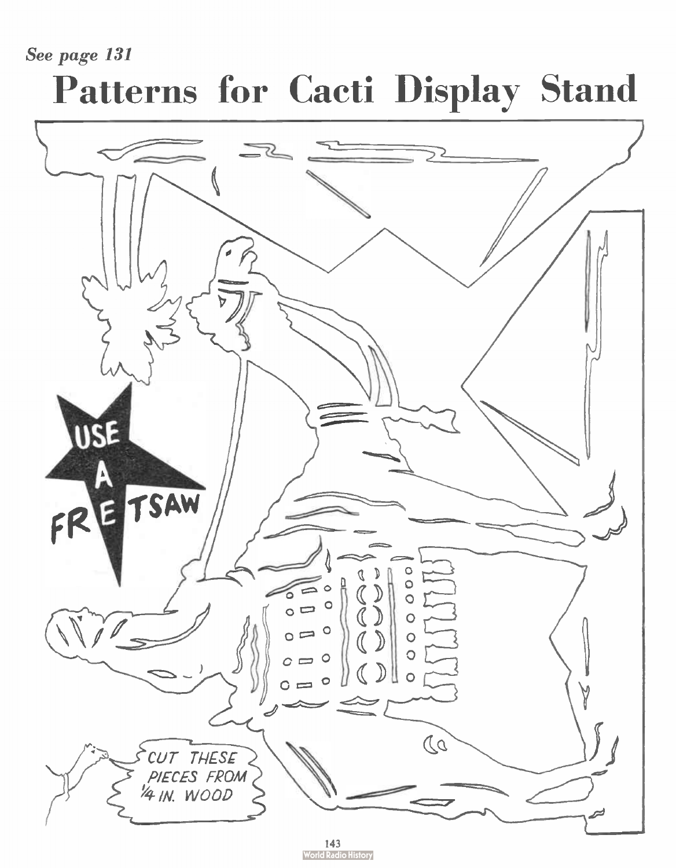See page 131

# Patterns for Cacti Display Stand